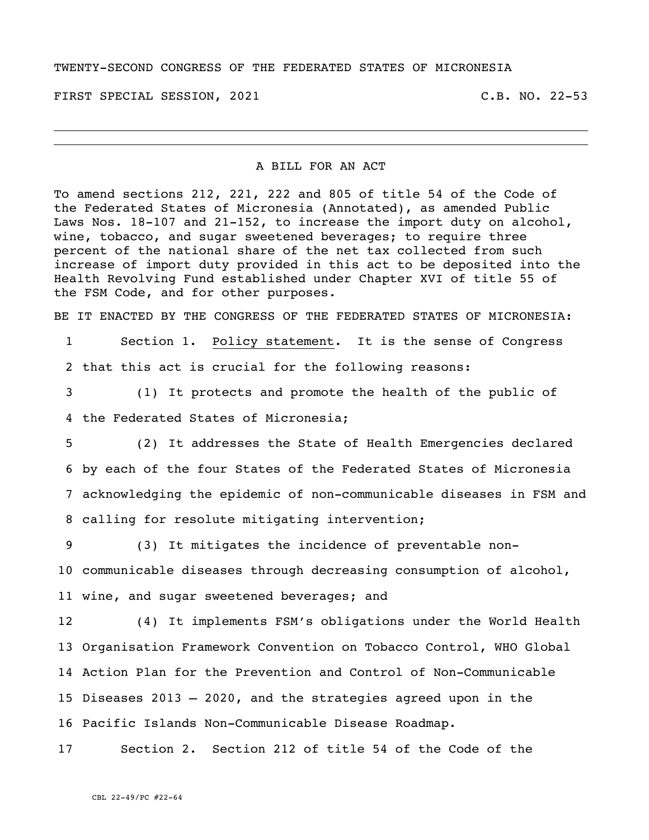## TWENTY-SECOND CONGRESS OF THE FEDERATED STATES OF MICRONESIA

FIRST SPECIAL SESSION, 2021 C.B. NO. 22-53

## A BILL FOR AN ACT

To amend sections 212, 221, 222 and 805 of title 54 of the Code of the Federated States of Micronesia (Annotated), as amended Public Laws Nos. 18-107 and 21-152, to increase the import duty on alcohol, wine, tobacco, and sugar sweetened beverages; to require three percent of the national share of the net tax collected from such increase of import duty provided in this act to be deposited into the Health Revolving Fund established under Chapter XVI of title 55 of the FSM Code, and for other purposes.

BE IT ENACTED BY THE CONGRESS OF THE FEDERATED STATES OF MICRONESIA:

1 Section 1. Policy statement. It is the sense of Congress 2 that this act is crucial for the following reasons:

3 (1) It protects and promote the health of the public of 4 the Federated States of Micronesia;

 (2) It addresses the State of Health Emergencies declared by each of the four States of the Federated States of Micronesia acknowledging the epidemic of non-communicable diseases in FSM and calling for resolute mitigating intervention;

9 (3) It mitigates the incidence of preventable non-10 communicable diseases through decreasing consumption of alcohol, 11 wine, and sugar sweetened beverages; and

 (4) It implements FSM's obligations under the World Health Organisation Framework Convention on Tobacco Control, WHO Global Action Plan for the Prevention and Control of Non-Communicable Diseases 2013 – 2020, and the strategies agreed upon in the Pacific Islands Non-Communicable Disease Roadmap.

17 Section 2. Section 212 of title 54 of the Code of the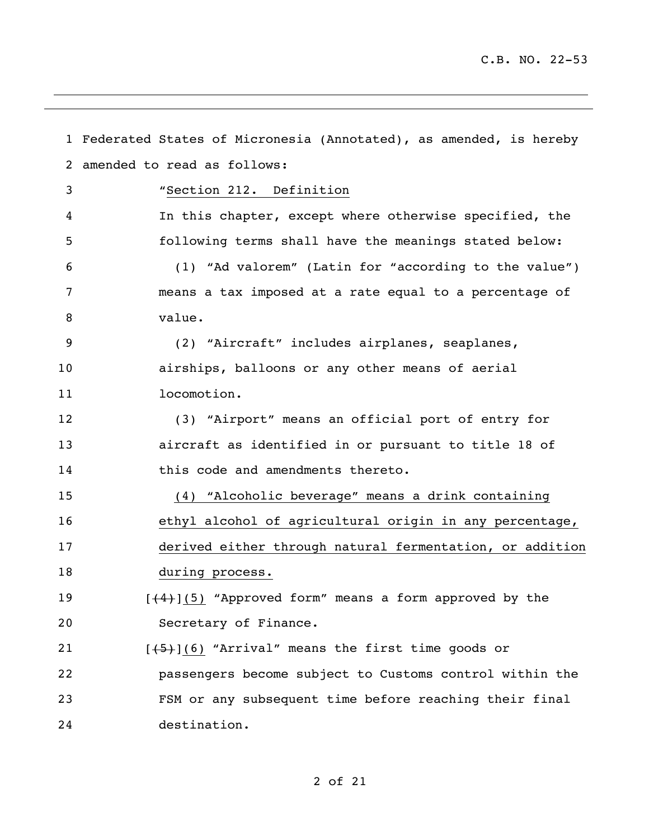|    | 1 Federated States of Micronesia (Annotated), as amended, is hereby |
|----|---------------------------------------------------------------------|
| 2  | amended to read as follows:                                         |
| 3  | "Section 212. Definition                                            |
| 4  | In this chapter, except where otherwise specified, the              |
| 5  | following terms shall have the meanings stated below:               |
| 6  | (1) "Ad valorem" (Latin for "according to the value")               |
| 7  | means a tax imposed at a rate equal to a percentage of              |
| 8  | value.                                                              |
| 9  | (2) "Aircraft" includes airplanes, seaplanes,                       |
| 10 | airships, balloons or any other means of aerial                     |
| 11 | locomotion.                                                         |
| 12 | (3) "Airport" means an official port of entry for                   |
| 13 | aircraft as identified in or pursuant to title 18 of                |
| 14 | this code and amendments thereto.                                   |
| 15 | (4) "Alcoholic beverage" means a drink containing                   |
| 16 | ethyl alcohol of agricultural origin in any percentage,             |
| 17 | derived either through natural fermentation, or addition            |
| 18 | during process.                                                     |
| 19 | $[ (4) ] (5)$ "Approved form" means a form approved by the          |
| 20 | Secretary of Finance.                                               |
| 21 | $[\frac{1}{5}]$ (6) "Arrival" means the first time goods or         |
| 22 | passengers become subject to Customs control within the             |
| 23 | FSM or any subsequent time before reaching their final              |
| 24 | destination.                                                        |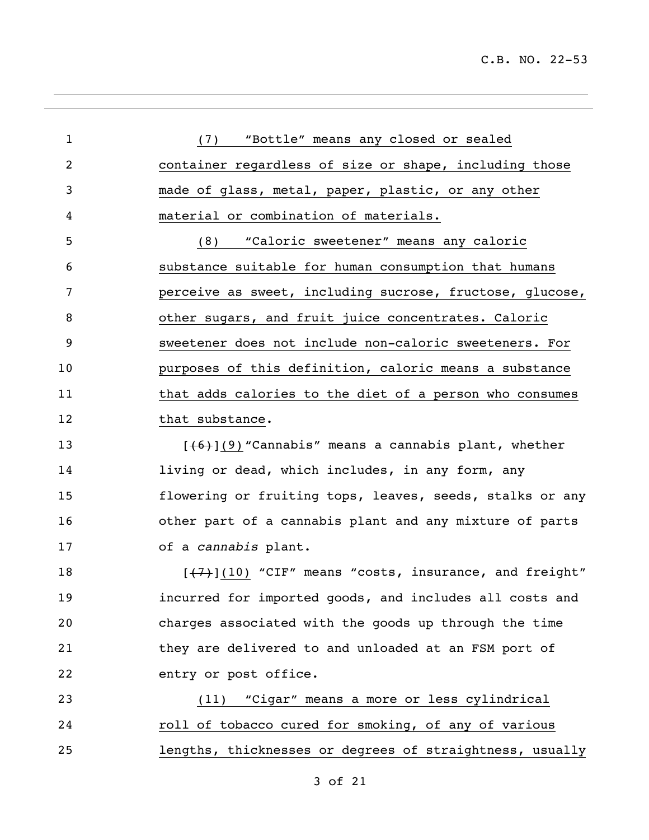(7) "Bottle" means any closed or sealed container regardless of size or shape, including those made of glass, metal, paper, plastic, or any other material or combination of materials. (8) "Caloric sweetener" means any caloric substance suitable for human consumption that humans perceive as sweet, including sucrose, fructose, glucose, other sugars, and fruit juice concentrates. Caloric sweetener does not include non-caloric sweeteners. For purposes of this definition, caloric means a substance that adds calories to the diet of a person who consumes 12 that substance.  $[46]$ (9) "Cannabis" means a cannabis plant, whether 14 living or dead, which includes, in any form, any flowering or fruiting tops, leaves, seeds, stalks or any other part of a cannabis plant and any mixture of parts of a *cannabis* plant.  $\left[\frac{7}{7}\right]$ (10) "CIF" means "costs, insurance, and freight" incurred for imported goods, and includes all costs and charges associated with the goods up through the time they are delivered to and unloaded at an FSM port of entry or post office. (11) "Cigar" means a more or less cylindrical roll of tobacco cured for smoking, of any of various lengths, thicknesses or degrees of straightness, usually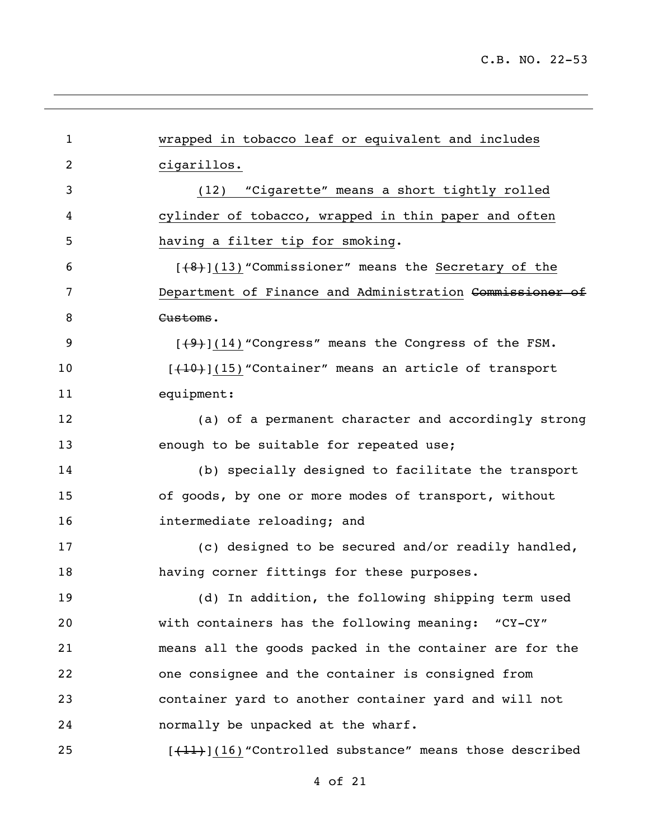| $\mathbf{1}$   | wrapped in tobacco leaf or equivalent and includes        |
|----------------|-----------------------------------------------------------|
| $\overline{2}$ | cigarillos.                                               |
| 3              | (12) "Cigarette" means a short tightly rolled             |
| 4              | cylinder of tobacco, wrapped in thin paper and often      |
| 5              | having a filter tip for smoking.                          |
| 6              | $[48]$ (13) "Commissioner" means the Secretary of the     |
| 7              | Department of Finance and Administration Commissioner of  |
| 8              | Customs.                                                  |
| 9              | $[49]$ (14) "Congress" means the Congress of the FSM.     |
| 10             | [(10) (15) "Container" means an article of transport      |
| 11             | equipment:                                                |
| 12             | (a) of a permanent character and accordingly strong       |
| 13             | enough to be suitable for repeated use;                   |
| 14             | (b) specially designed to facilitate the transport        |
| 15             | of goods, by one or more modes of transport, without      |
| 16             | intermediate reloading; and                               |
| 17             | (c) designed to be secured and/or readily handled,        |
| 18             | having corner fittings for these purposes.                |
| 19             | (d) In addition, the following shipping term used         |
| 20             | with containers has the following meaning: "CY-CY"        |
| 21             | means all the goods packed in the container are for the   |
| 22             | one consignee and the container is consigned from         |
| 23             | container yard to another container yard and will not     |
| 24             | normally be unpacked at the wharf.                        |
| 25             | $[+11]$ (16) "Controlled substance" means those described |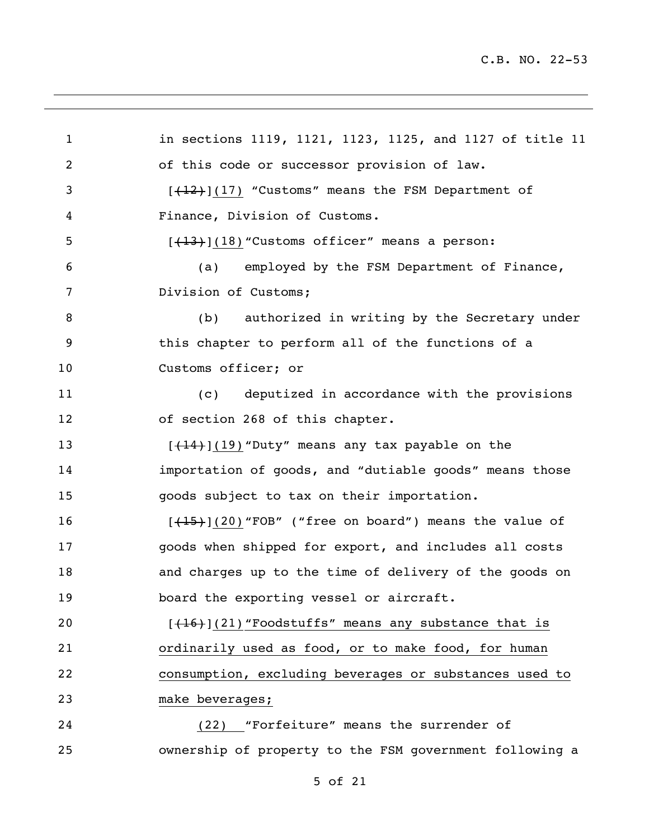in sections 1119, 1121, 1123, 1125, and 1127 of title 11 of this code or successor provision of law. 3 [(12)](17) "Customs" means the FSM Department of Finance, Division of Customs.  $[(13)(18)$  "Customs officer" means a person: (a) employed by the FSM Department of Finance, Division of Customs; (b) authorized in writing by the Secretary under this chapter to perform all of the functions of a Customs officer; or (c) deputized in accordance with the provisions of section 268 of this chapter.  $[+14]+[19)$  "Duty" means any tax payable on the importation of goods, and "dutiable goods" means those goods subject to tax on their importation.  $[(15)(20)$  "FOB" ("free on board") means the value of goods when shipped for export, and includes all costs and charges up to the time of delivery of the goods on 19 board the exporting vessel or aircraft.  $\left[\frac{(16)}{(21)}$  "Foodstuffs" means any substance that is ordinarily used as food, or to make food, for human consumption, excluding beverages or substances used to make beverages; (22) "Forfeiture" means the surrender of ownership of property to the FSM government following a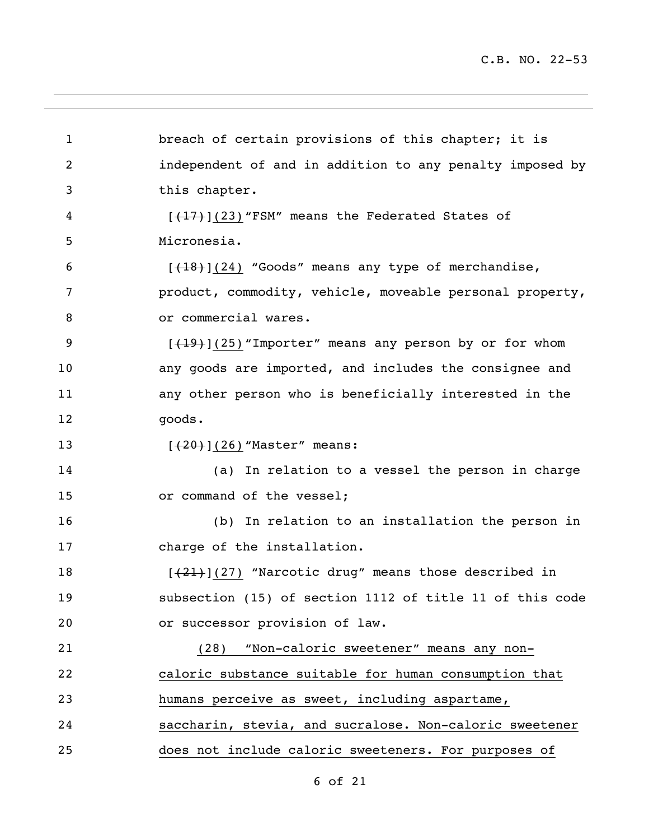1 breach of certain provisions of this chapter; it is independent of and in addition to any penalty imposed by this chapter. 4 [(17)](23) "FSM" means the Federated States of Micronesia.  $\left[\frac{(18)}{(24)}\right]$ (24) "Goods" means any type of merchandise, product, commodity, vehicle, moveable personal property, 8 or commercial wares. 9 [(19)](25) "Importer" means any person by or for whom any goods are imported, and includes the consignee and any other person who is beneficially interested in the goods. 13 [(20)](26) "Master" means: (a) In relation to a vessel the person in charge 15 or command of the vessel; (b) In relation to an installation the person in charge of the installation. 18 [(21)](27) "Narcotic drug" means those described in subsection (15) of section 1112 of title 11 of this code or successor provision of law. (28) "Non-caloric sweetener" means any non- caloric substance suitable for human consumption that humans perceive as sweet, including aspartame, saccharin, stevia, and sucralose. Non-caloric sweetener does not include caloric sweeteners. For purposes of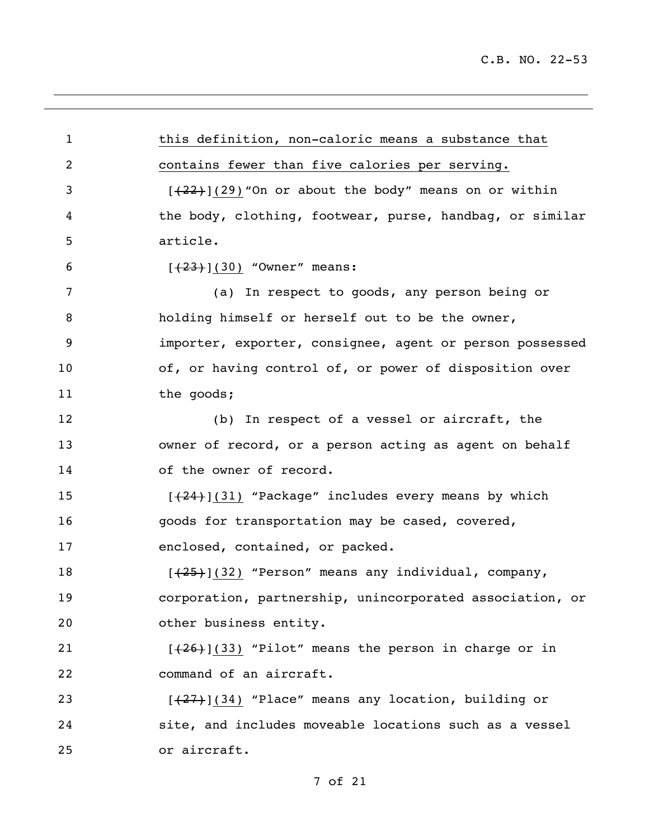this definition, non-caloric means a substance that contains fewer than five calories per serving.  $[(22)$ ](29) "On or about the body" means on or within the body, clothing, footwear, purse, handbag, or similar article.  $[+23+](30)$  "Owner" means: (a) In respect to goods, any person being or holding himself or herself out to be the owner, importer, exporter, consignee, agent or person possessed 10 of, or having control of, or power of disposition over 11 the goods; (b) In respect of a vessel or aircraft, the owner of record, or a person acting as agent on behalf 14 of the owner of record. 15 [(24)](31) "Package" includes every means by which goods for transportation may be cased, covered, enclosed, contained, or packed. 18 [(25)](32) "Person" means any individual, company, corporation, partnership, unincorporated association, or other business entity.  $[(26)(33)$  "Pilot" means the person in charge or in command of an aircraft. 23 [(27)](34) "Place" means any location, building or site, and includes moveable locations such as a vessel or aircraft.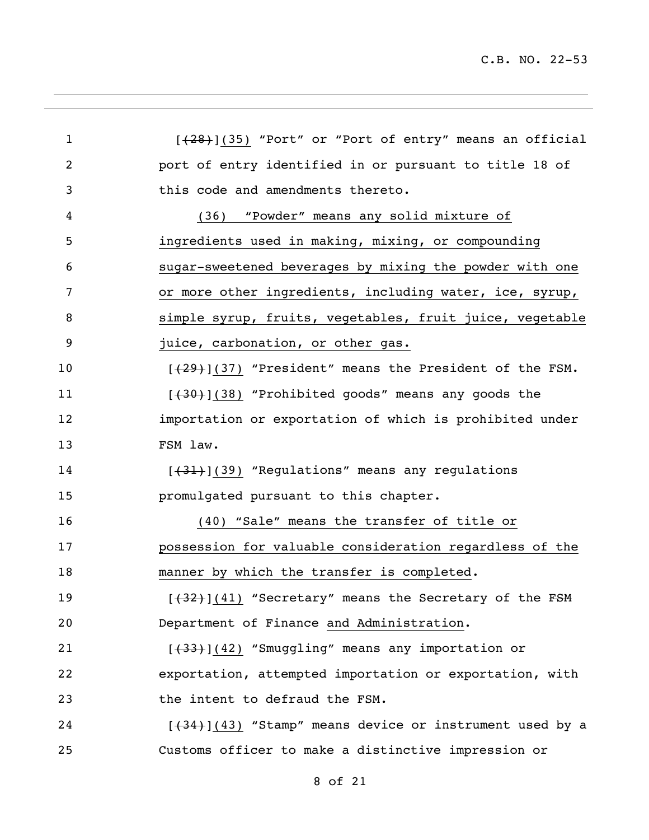| $\mathbf{1}$   | $[+28]+(35)$ "Port" or "Port of entry" means an official  |
|----------------|-----------------------------------------------------------|
| $\overline{2}$ | port of entry identified in or pursuant to title 18 of    |
| 3              | this code and amendments thereto.                         |
| 4              | "Powder" means any solid mixture of<br>(36)               |
| 5              | ingredients used in making, mixing, or compounding        |
| 6              | sugar-sweetened beverages by mixing the powder with one   |
| 7              | or more other ingredients, including water, ice, syrup,   |
| 8              | simple syrup, fruits, vegetables, fruit juice, vegetable  |
| 9              | juice, carbonation, or other gas.                         |
| 10             | $[+29]+[37]$ "President" means the President of the FSM.  |
| 11             | $[430+](38)$ "Prohibited goods" means any goods the       |
| 12             | importation or exportation of which is prohibited under   |
| 13             | FSM law.                                                  |
| 14             | $[431]$ (39) "Regulations" means any regulations          |
| 15             | promulgated pursuant to this chapter.                     |
| 16             | (40) "Sale" means the transfer of title or                |
| 17             | possession for valuable consideration regardless of the   |
| 18             | manner by which the transfer is completed.                |
| 19             | [(32)](41) "Secretary" means the Secretary of the FSM     |
| 20             | Department of Finance and Administration.                 |
| 21             | $[+33]+[42)$ "Smuggling" means any importation or         |
| 22             | exportation, attempted importation or exportation, with   |
| 23             | the intent to defraud the FSM.                            |
| 24             | $[+34]$ (43) "Stamp" means device or instrument used by a |
| 25             | Customs officer to make a distinctive impression or       |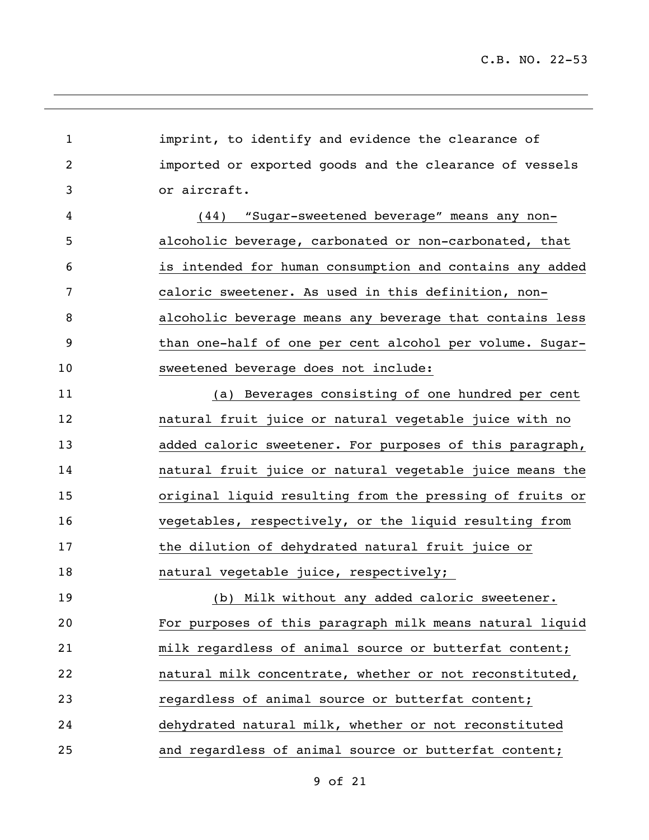imprint, to identify and evidence the clearance of imported or exported goods and the clearance of vessels or aircraft. (44) "Sugar-sweetened beverage" means any non- alcoholic beverage, carbonated or non-carbonated, that is intended for human consumption and contains any added caloric sweetener. As used in this definition, non- alcoholic beverage means any beverage that contains less than one-half of one per cent alcohol per volume. Sugar- sweetened beverage does not include: (a) Beverages consisting of one hundred per cent natural fruit juice or natural vegetable juice with no added caloric sweetener. For purposes of this paragraph, natural fruit juice or natural vegetable juice means the original liquid resulting from the pressing of fruits or vegetables, respectively, or the liquid resulting from the dilution of dehydrated natural fruit juice or natural vegetable juice, respectively; (b) Milk without any added caloric sweetener. For purposes of this paragraph milk means natural liquid milk regardless of animal source or butterfat content; natural milk concentrate, whether or not reconstituted, regardless of animal source or butterfat content; dehydrated natural milk, whether or not reconstituted and regardless of animal source or butterfat content;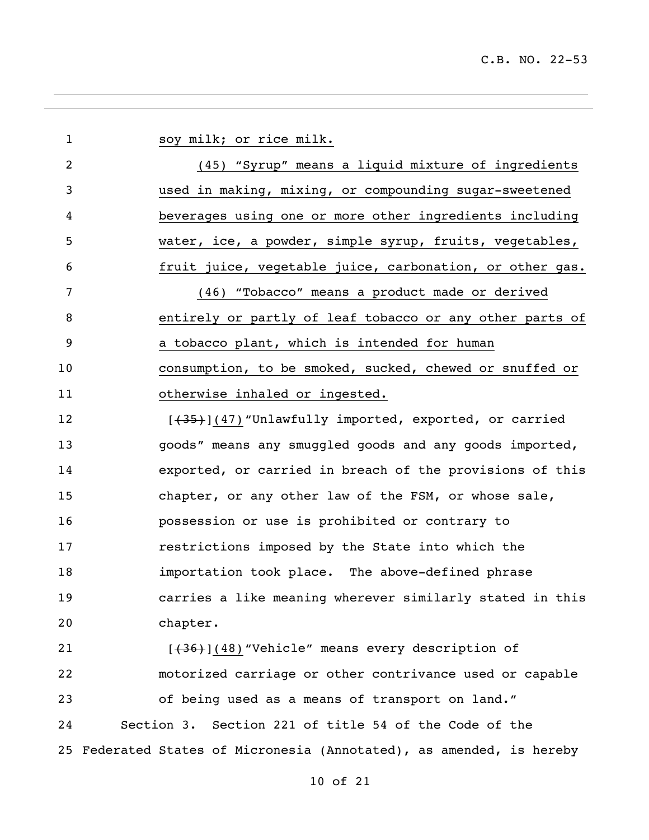1 soy milk; or rice milk. (45) "Syrup" means a liquid mixture of ingredients used in making, mixing, or compounding sugar-sweetened beverages using one or more other ingredients including water, ice, a powder, simple syrup, fruits, vegetables, fruit juice, vegetable juice, carbonation, or other gas. (46) "Tobacco" means a product made or derived entirely or partly of leaf tobacco or any other parts of a tobacco plant, which is intended for human consumption, to be smoked, sucked, chewed or snuffed or otherwise inhaled or ingested. 12 [(35)](47) "Unlawfully imported, exported, or carried goods" means any smuggled goods and any goods imported, exported, or carried in breach of the provisions of this chapter, or any other law of the FSM, or whose sale, possession or use is prohibited or contrary to restrictions imposed by the State into which the importation took place. The above-defined phrase carries a like meaning wherever similarly stated in this chapter. 21 [(36)](48) "Vehicle" means every description of motorized carriage or other contrivance used or capable of being used as a means of transport on land." Section 3. Section 221 of title 54 of the Code of the Federated States of Micronesia (Annotated), as amended, is hereby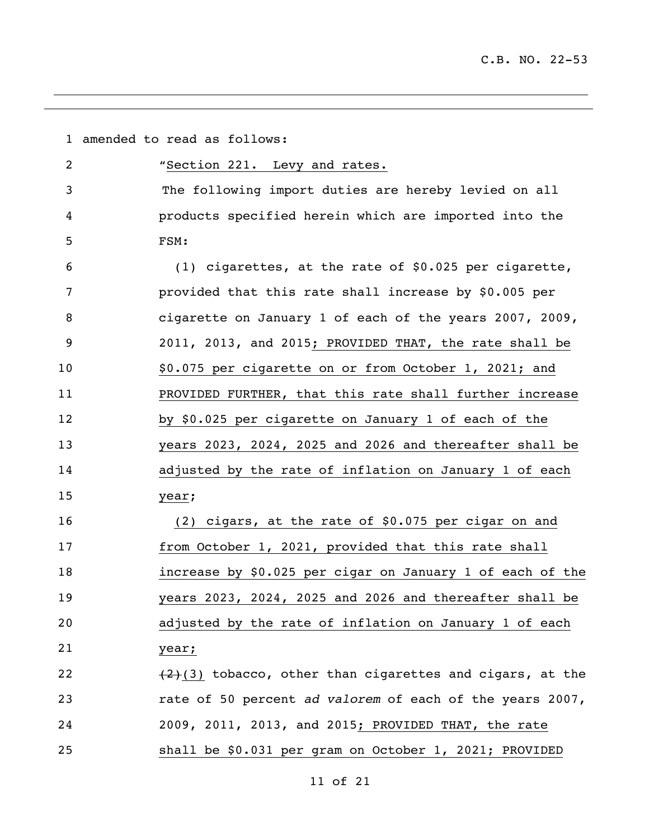|    | 1 amended to read as follows:                              |
|----|------------------------------------------------------------|
| 2  | "Section 221. Levy and rates.                              |
| 3  | The following import duties are hereby levied on all       |
| 4  | products specified herein which are imported into the      |
| 5  | FSM:                                                       |
| 6  | (1) cigarettes, at the rate of \$0.025 per cigarette,      |
| 7  | provided that this rate shall increase by \$0.005 per      |
| 8  | cigarette on January 1 of each of the years 2007, 2009,    |
| 9  | 2011, 2013, and 2015; PROVIDED THAT, the rate shall be     |
| 10 | \$0.075 per cigarette on or from October 1, 2021; and      |
| 11 | PROVIDED FURTHER, that this rate shall further increase    |
| 12 | by \$0.025 per cigarette on January 1 of each of the       |
| 13 | years 2023, 2024, 2025 and 2026 and thereafter shall be    |
| 14 | adjusted by the rate of inflation on January 1 of each     |
| 15 | year;                                                      |
| 16 | (2) cigars, at the rate of \$0.075 per cigar on and        |
| 17 | from October 1, 2021, provided that this rate shall        |
| 18 | increase by \$0.025 per cigar on January 1 of each of the  |
| 19 | years 2023, 2024, 2025 and 2026 and thereafter shall be    |
| 20 | adjusted by the rate of inflation on January 1 of each     |
| 21 | year;                                                      |
| 22 | $(2)(3)$ tobacco, other than cigarettes and cigars, at the |
| 23 | rate of 50 percent ad valorem of each of the years 2007,   |
| 24 | 2009, 2011, 2013, and 2015; PROVIDED THAT, the rate        |
| 25 | shall be \$0.031 per gram on October 1, 2021; PROVIDED     |

<u> 1989 - Johann Stoff, amerikansk politiker (d. 1989)</u>

of 21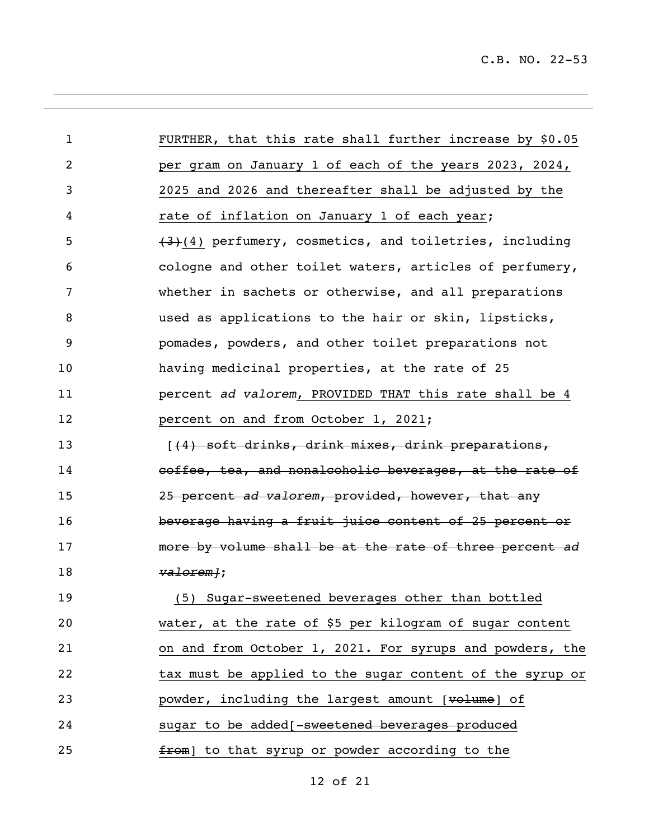| $\mathbf{1}$ | FURTHER, that this rate shall further increase by \$0.05 |
|--------------|----------------------------------------------------------|
| 2            | per gram on January 1 of each of the years 2023, 2024,   |
| 3            | 2025 and 2026 and thereafter shall be adjusted by the    |
| 4            | rate of inflation on January 1 of each year;             |
| 5            | $(3)(4)$ perfumery, cosmetics, and toiletries, including |
| 6            | cologne and other toilet waters, articles of perfumery,  |
| 7            | whether in sachets or otherwise, and all preparations    |
| 8            | used as applications to the hair or skin, lipsticks,     |
| 9            | pomades, powders, and other toilet preparations not      |
| 10           | having medicinal properties, at the rate of 25           |
| 11           | percent ad valorem, PROVIDED THAT this rate shall be 4   |
| 12           | percent on and from October 1, 2021;                     |
| 13           | (4) soft drinks, drink mixes, drink preparations,        |
| 14           | coffee, tea, and nonalcoholic beverages, at the rate of  |
| 15           | 25 percent ad valorem, provided, however, that any       |
| 16           | beverage having a fruit juice content of 25 percent or   |
| 17           | more by volume shall be at the rate of three percent ad  |
| 18           | valorem <sub>1</sub> ;                                   |
| 19           | (5) Sugar-sweetened beverages other than bottled         |
| 20           | water, at the rate of \$5 per kilogram of sugar content  |
| 21           | on and from October 1, 2021. For syrups and powders, the |
| 22           | tax must be applied to the sugar content of the syrup or |
| 23           | powder, including the largest amount [volume] of         |
| 24           | sugar to be added [-sweetened beverages produced         |
| 25           | from] to that syrup or powder according to the           |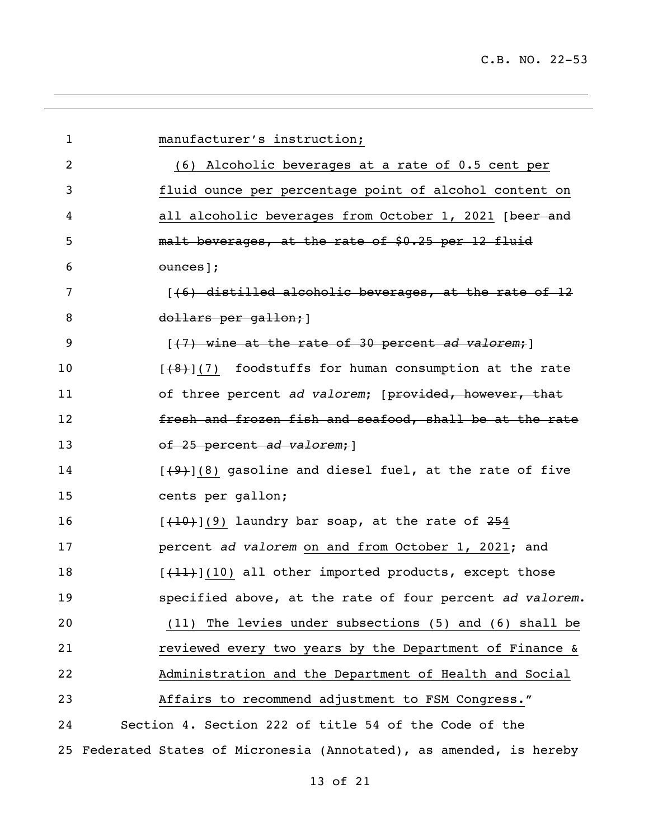| $\mathbf 1$    | manufacturer's instruction;                                       |
|----------------|-------------------------------------------------------------------|
| $\overline{2}$ | (6) Alcoholic beverages at a rate of 0.5 cent per                 |
| 3              | fluid ounce per percentage point of alcohol content on            |
| 4              | all alcoholic beverages from October 1, 2021 [beer and            |
| 5              | malt beverages, at the rate of \$0.25 per 12 fluid                |
| 6              | ounces];                                                          |
| 7              | $(46)$ distilled alcoholic beverages, at the rate of 12           |
| 8              | dollars per gallon; 1                                             |
| 9              | [(7) wine at the rate of 30 percent ad valorem; ]                 |
| 10             | $[48]$ (7) foodstuffs for human consumption at the rate           |
| 11             | of three percent ad valorem; [provided, however, that             |
| 12             | fresh and frozen fish and seafood, shall be at the rate           |
| 13             | of 25 percent ad valorem; 1                                       |
| 14             | $[49]$ (8) gasoline and diesel fuel, at the rate of five          |
| 15             | cents per gallon;                                                 |
| 16             | $[+10+](9)$ laundry bar soap, at the rate of 254                  |
| 17             | percent ad valorem on and from October 1, 2021; and               |
| 18             | $[+11]$ (10) all other imported products, except those            |
| 19             | specified above, at the rate of four percent ad valorem.          |
| 20             | (11) The levies under subsections (5) and (6) shall be            |
| 21             | reviewed every two years by the Department of Finance &           |
| 22             | Administration and the Department of Health and Social            |
| 23             | Affairs to recommend adjustment to FSM Congress."                 |
| 24             | Section 4. Section 222 of title 54 of the Code of the             |
| 25             | Federated States of Micronesia (Annotated), as amended, is hereby |

<u> 1989 - Andrea Santa Andrea Andrea Andrea Andrea Andrea Andrea Andrea Andrea Andrea Andrea Andrea Andrea Andr</u>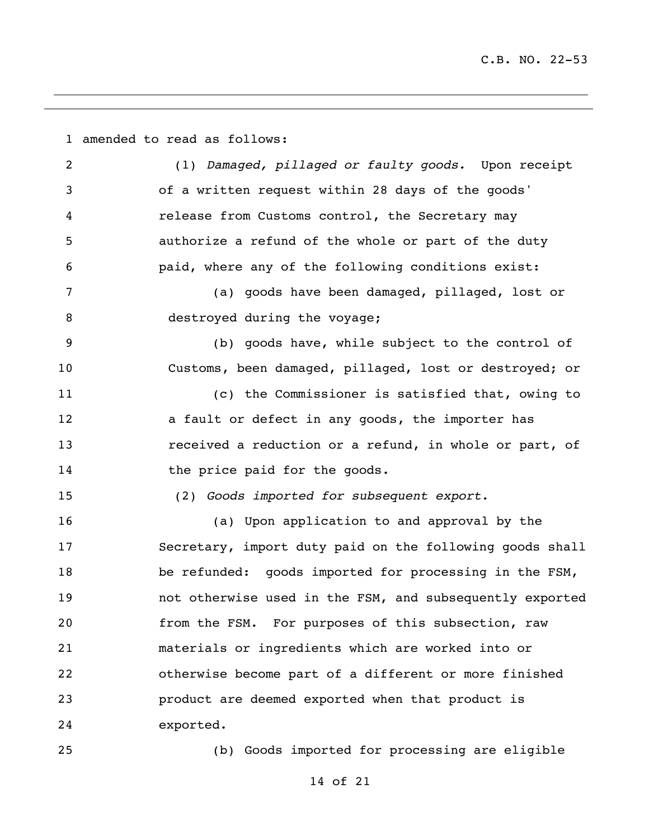amended to read as follows: (1) *Damaged, pillaged or faulty goods.* Upon receipt of a written request within 28 days of the goods' release from Customs control, the Secretary may authorize a refund of the whole or part of the duty paid, where any of the following conditions exist: (a) goods have been damaged, pillaged, lost or 8 destroyed during the voyage; (b) goods have, while subject to the control of Customs, been damaged, pillaged, lost or destroyed; or (c) the Commissioner is satisfied that, owing to 12 a fault or defect in any goods, the importer has received a reduction or a refund, in whole or part, of 14 the price paid for the goods. (2) *Goods imported for subsequent export.* (a) Upon application to and approval by the Secretary, import duty paid on the following goods shall be refunded: goods imported for processing in the FSM, not otherwise used in the FSM, and subsequently exported from the FSM. For purposes of this subsection, raw materials or ingredients which are worked into or otherwise become part of a different or more finished product are deemed exported when that product is exported. (b) Goods imported for processing are eligible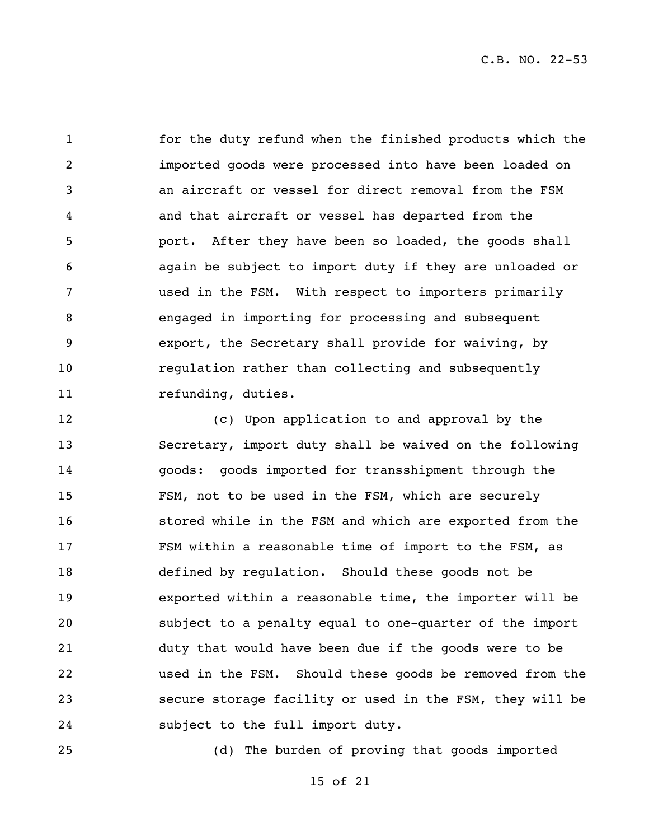for the duty refund when the finished products which the imported goods were processed into have been loaded on an aircraft or vessel for direct removal from the FSM and that aircraft or vessel has departed from the port. After they have been so loaded, the goods shall again be subject to import duty if they are unloaded or used in the FSM. With respect to importers primarily engaged in importing for processing and subsequent export, the Secretary shall provide for waiving, by regulation rather than collecting and subsequently 11 refunding, duties.

 (c) Upon application to and approval by the Secretary, import duty shall be waived on the following goods: goods imported for transshipment through the FSM, not to be used in the FSM, which are securely stored while in the FSM and which are exported from the FSM within a reasonable time of import to the FSM, as defined by regulation. Should these goods not be exported within a reasonable time, the importer will be subject to a penalty equal to one-quarter of the import duty that would have been due if the goods were to be used in the FSM. Should these goods be removed from the secure storage facility or used in the FSM, they will be subject to the full import duty.

(d) The burden of proving that goods imported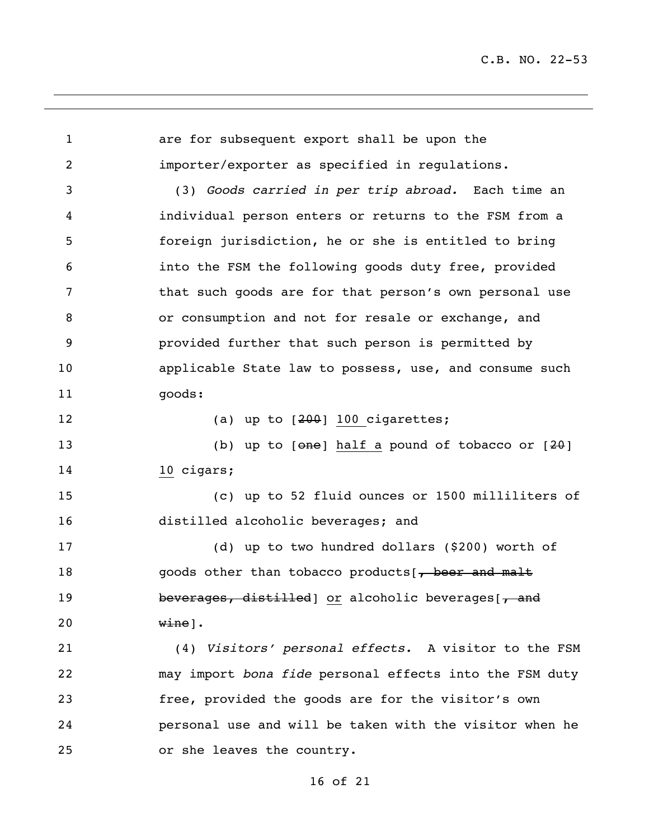are for subsequent export shall be upon the importer/exporter as specified in regulations. (3) *Goods carried in per trip abroad.* Each time an individual person enters or returns to the FSM from a foreign jurisdiction, he or she is entitled to bring into the FSM the following goods duty free, provided that such goods are for that person's own personal use or consumption and not for resale or exchange, and provided further that such person is permitted by applicable State law to possess, use, and consume such 11 goods: 12 (a) up to  $[200]$  100 cigarettes; 13 (b) up to [ $\Theta$ ne] half a pound of tobacco or  $[2\theta]$  10 cigars; (c) up to 52 fluid ounces or 1500 milliliters of distilled alcoholic beverages; and (d) up to two hundred dollars (\$200) worth of 18 goods other than tobacco products[, beer and malt 19 beverages, distilled or alcoholic beverages [, and wine]. (4) *Visitors' personal effects.* A visitor to the FSM may import *bona fide* personal effects into the FSM duty free, provided the goods are for the visitor's own personal use and will be taken with the visitor when he or she leaves the country.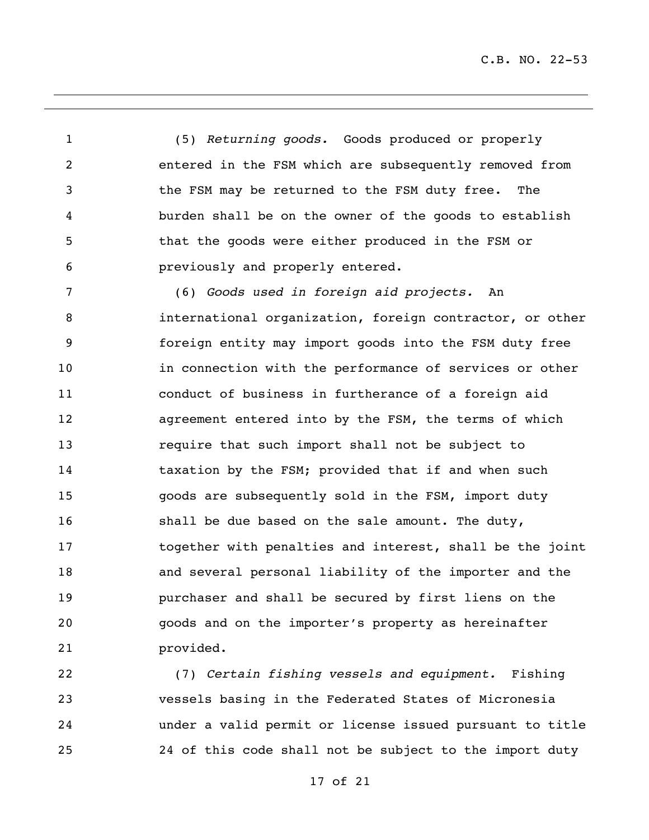(5) *Returning goods.* Goods produced or properly entered in the FSM which are subsequently removed from the FSM may be returned to the FSM duty free. The burden shall be on the owner of the goods to establish that the goods were either produced in the FSM or previously and properly entered.

 (6) *Goods used in foreign aid projects.* An international organization, foreign contractor, or other foreign entity may import goods into the FSM duty free in connection with the performance of services or other conduct of business in furtherance of a foreign aid agreement entered into by the FSM, the terms of which require that such import shall not be subject to taxation by the FSM; provided that if and when such goods are subsequently sold in the FSM, import duty shall be due based on the sale amount. The duty, together with penalties and interest, shall be the joint and several personal liability of the importer and the purchaser and shall be secured by first liens on the goods and on the importer's property as hereinafter provided.

 (7) *Certain fishing vessels and equipment.* Fishing vessels basing in the Federated States of Micronesia under a valid permit or license issued pursuant to title 24 of this code shall not be subject to the import duty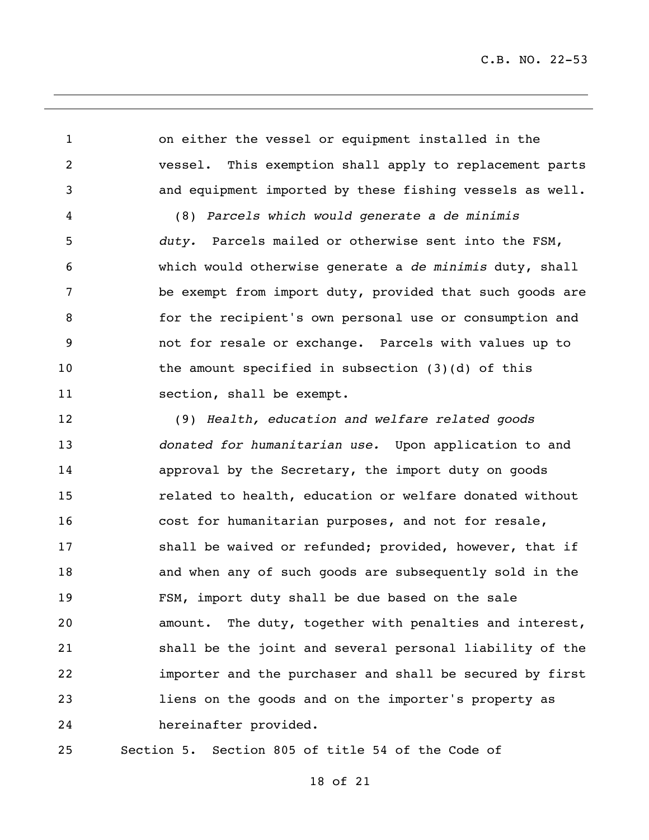on either the vessel or equipment installed in the vessel. This exemption shall apply to replacement parts and equipment imported by these fishing vessels as well. (8) *Parcels which would generate a de minimis duty.* Parcels mailed or otherwise sent into the FSM, which would otherwise generate a *de minimis* duty, shall be exempt from import duty, provided that such goods are for the recipient's own personal use or consumption and not for resale or exchange. Parcels with values up to 10 the amount specified in subsection (3)(d) of this 11 section, shall be exempt. (9) *Health, education and welfare related goods donated for humanitarian use.* Upon application to and approval by the Secretary, the import duty on goods related to health, education or welfare donated without

 cost for humanitarian purposes, and not for resale, **shall be waived or refunded; provided, however, that if**  and when any of such goods are subsequently sold in the FSM, import duty shall be due based on the sale amount. The duty, together with penalties and interest, shall be the joint and several personal liability of the importer and the purchaser and shall be secured by first liens on the goods and on the importer's property as hereinafter provided.

Section 5. Section 805 of title 54 of the Code of

## of 21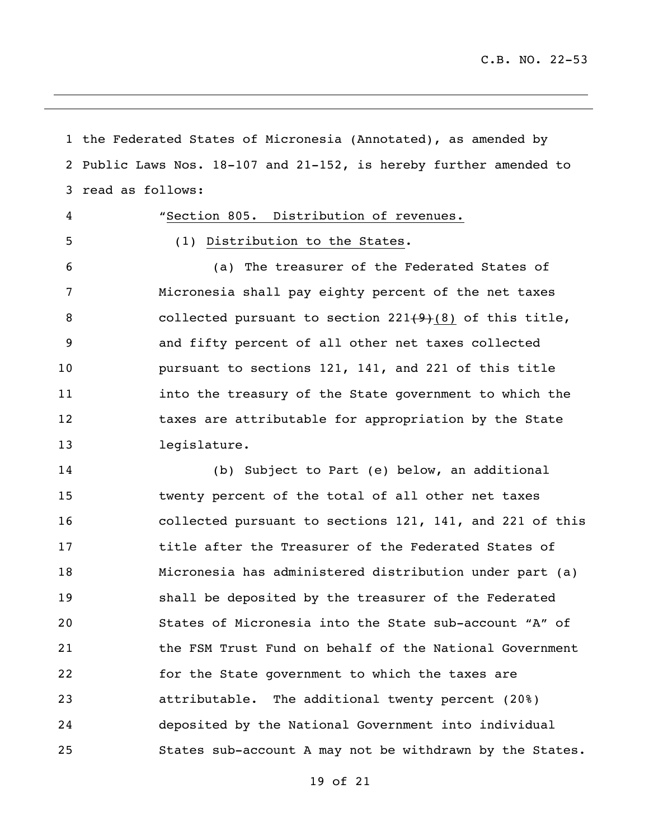the Federated States of Micronesia (Annotated), as amended by Public Laws Nos. 18-107 and 21-152, is hereby further amended to read as follows:

 "Section 805. Distribution of revenues. (1) Distribution to the States. (a) The treasurer of the Federated States of Micronesia shall pay eighty percent of the net taxes 8 collected pursuant to section 221(9)(8) of this title, and fifty percent of all other net taxes collected pursuant to sections 121, 141, and 221 of this title into the treasury of the State government to which the 12 taxes are attributable for appropriation by the State legislature.

 (b) Subject to Part (e) below, an additional twenty percent of the total of all other net taxes collected pursuant to sections 121, 141, and 221 of this title after the Treasurer of the Federated States of Micronesia has administered distribution under part (a) shall be deposited by the treasurer of the Federated States of Micronesia into the State sub-account "A" of the FSM Trust Fund on behalf of the National Government for the State government to which the taxes are attributable. The additional twenty percent (20%) deposited by the National Government into individual States sub-account A may not be withdrawn by the States.

of 21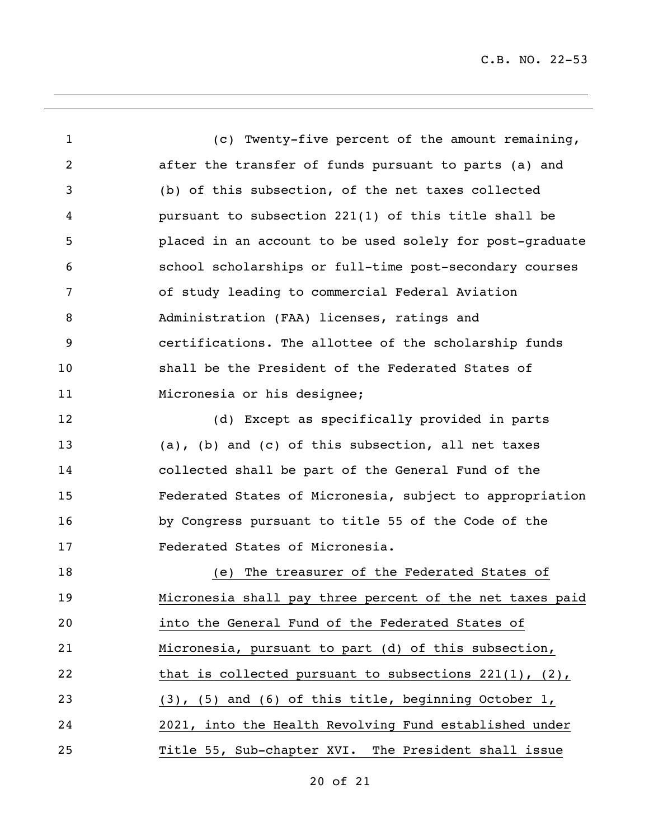(c) Twenty-five percent of the amount remaining, after the transfer of funds pursuant to parts (a) and (b) of this subsection, of the net taxes collected pursuant to subsection 221(1) of this title shall be placed in an account to be used solely for post-graduate school scholarships or full-time post-secondary courses of study leading to commercial Federal Aviation Administration (FAA) licenses, ratings and certifications. The allottee of the scholarship funds shall be the President of the Federated States of 11 Micronesia or his designee; (d) Except as specifically provided in parts (a), (b) and (c) of this subsection, all net taxes collected shall be part of the General Fund of the Federated States of Micronesia, subject to appropriation by Congress pursuant to title 55 of the Code of the Federated States of Micronesia. (e) The treasurer of the Federated States of Micronesia shall pay three percent of the net taxes paid into the General Fund of the Federated States of Micronesia, pursuant to part (d) of this subsection, 22 that is collected pursuant to subsections 221(1), (2), (3), (5) and (6) of this title, beginning October 1, 2021, into the Health Revolving Fund established under Title 55, Sub-chapter XVI. The President shall issue